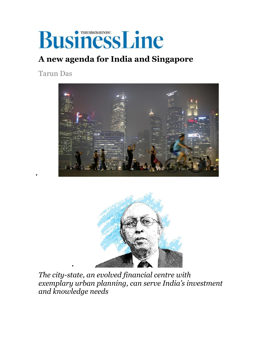# **BusinessLine**

### **A new agenda for India and Singapore**

Tarun Das

 $\overline{1}$ 





*The city-state, an evolved financial centre with exemplary urban planning, can serve India's investment and knowledge needs*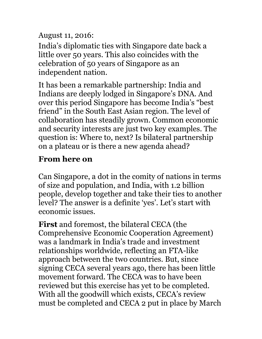August 11, 2016:

India's diplomatic ties with Singapore date back a little over 50 years. This also coincides with the celebration of 50 years of Singapore as an independent nation.

It has been a remarkable partnership: India and Indians are deeply lodged in Singapore's DNA. And over this period Singapore has become India's "best friend" in the South East Asian region. The level of collaboration has steadily grown. Common economic and security interests are just two key examples. The question is: Where to, next? Is bilateral partnership on a plateau or is there a new agenda ahead?

#### **From here on**

Can Singapore, a dot in the comity of nations in terms of size and population, and India, with 1.2 billion people, develop together and take their ties to another level? The answer is a definite 'yes'. Let's start with economic issues.

**First** and foremost, the bilateral CECA (the Comprehensive Economic Cooperation Agreement) was a landmark in India's trade and investment relationships worldwide, reflecting an FTA-like approach between the two countries. But, since signing CECA several years ago, there has been little movement forward. The CECA was to have been reviewed but this exercise has yet to be completed. With all the goodwill which exists, CECA's review must be completed and CECA 2 put in place by March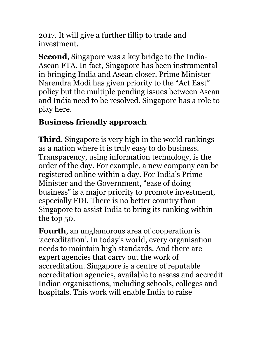2017. It will give a further fillip to trade and investment.

**Second**, Singapore was a key bridge to the India- Asean FTA. In fact, Singapore has been instrumental in bringing India and Asean closer. Prime Minister Narendra Modi has given priority to the "Act East" policy but the multiple pending issues between Asean and India need to be resolved. Singapore has a role to play here.

## **Business friendly approach**

**Third**, Singapore is very high in the world rankings as a nation where it is truly easy to do business. Transparency, using information technology, is the order of the day. For example, a new company can be registered online within a day. For India's Prime Minister and the Government, "ease of doing business" is a major priority to promote investment, especially FDI. There is no better country than Singapore to assist India to bring its ranking within the top 50.

**Fourth**, an unglamorous area of cooperation is 'accreditation'. In today's world, every organisation needs to maintain high standards. And there are expert agencies that carry out the work of accreditation. Singapore is a centre of reputable accreditation agencies, available to assess and accredit Indian organisations, including schools, colleges and hospitals. This work will enable India to raise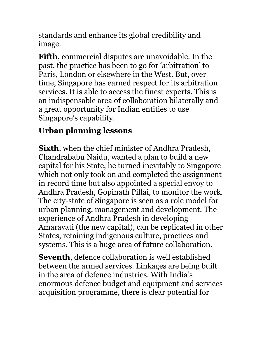standards and enhance its global credibility and image.

**Fifth**, commercial disputes are unavoidable. In the past, the practice has been to go for 'arbitration' to Paris, London or elsewhere in the West. But, over time, Singapore has earned respect for its arbitration services. It is able to access the finest experts. This is an indispensable area of collaboration bilaterally and a great opportunity for Indian entities to use Singapore's capability.

## **Urban planning lessons**

**Sixth**, when the chief minister of Andhra Pradesh, Chandrababu Naidu, wanted a plan to build a new capital for his State, he turned inevitably to Singapore which not only took on and completed the assignment in record time but also appointed a special envoy to Andhra Pradesh, Gopinath Pillai, to monitor the work. The city-state of Singapore is seen as a role model for urban planning, management and development. The experience of Andhra Pradesh in developing Amaravati (the new capital), can be replicated in other States, retaining indigenous culture, practices and systems. This is a huge area of future collaboration.

**Seventh**, defence collaboration is well established between the armed services. Linkages are being built in the area of defence industries. With India's enormous defence budget and equipment and services acquisition programme, there is clear potential for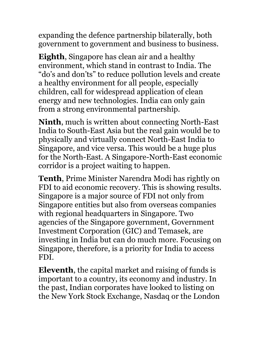expanding the defence partnership bilaterally, both government to government and business to business.

**Eighth**, Singapore has clean air and a healthy environment, which stand in contrast to India. The "do's and don'ts" to reduce pollution levels and create a healthy environment for all people, especially children, call for widespread application of clean energy and new technologies. India can only gain from a strong environmental partnership.

**Ninth**, much is written about connecting North-East India to South-East Asia but the real gain would be to physically and virtually connect North-East India to Singapore, and vice versa. This would be a huge plus for the North-East. A Singapore-North-East economic corridor is a project waiting to happen.

**Tenth**, Prime Minister Narendra Modi has rightly on FDI to aid economic recovery. This is showing results. Singapore is a major source of FDI not only from Singapore entities but also from overseas companies with regional headquarters in Singapore. Two agencies of the Singapore government, Government Investment Corporation (GIC) and Temasek, are investing in India but can do much more. Focusing on Singapore, therefore, is a priority for India to access FDI.

**Eleventh**, the capital market and raising of funds is important to a country, its economy and industry. In the past, Indian corporates have looked to listing on the New York Stock Exchange, Nasdaq or the London